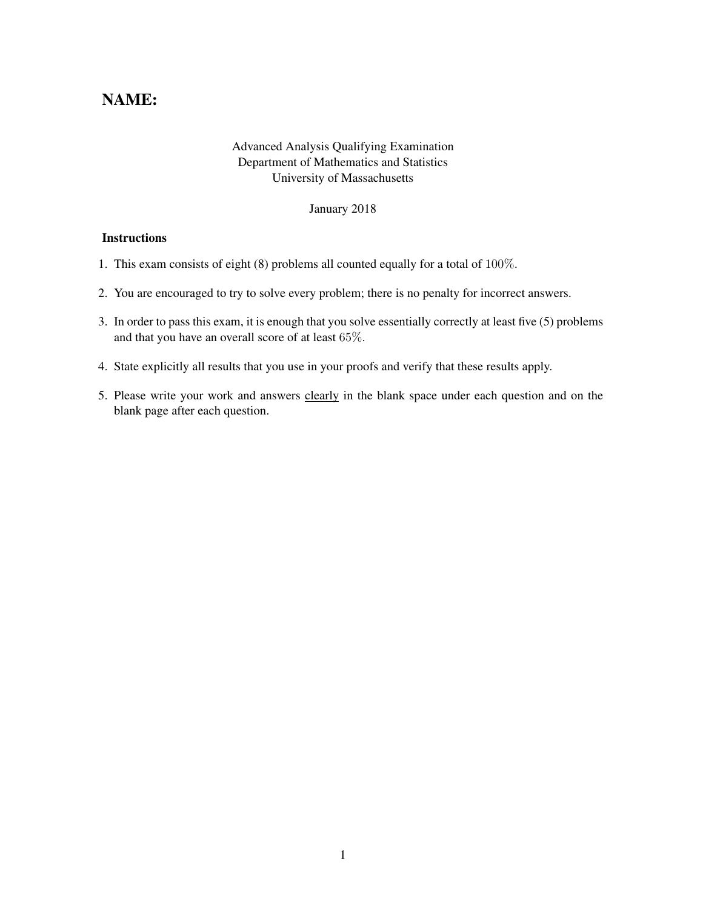## NAME:

## Advanced Analysis Qualifying Examination Department of Mathematics and Statistics University of Massachusetts

January 2018

## **Instructions**

- 1. This exam consists of eight (8) problems all counted equally for a total of 100%.
- 2. You are encouraged to try to solve every problem; there is no penalty for incorrect answers.
- 3. In order to pass this exam, it is enough that you solve essentially correctly at least five (5) problems and that you have an overall score of at least 65%.
- 4. State explicitly all results that you use in your proofs and verify that these results apply.
- 5. Please write your work and answers clearly in the blank space under each question and on the blank page after each question.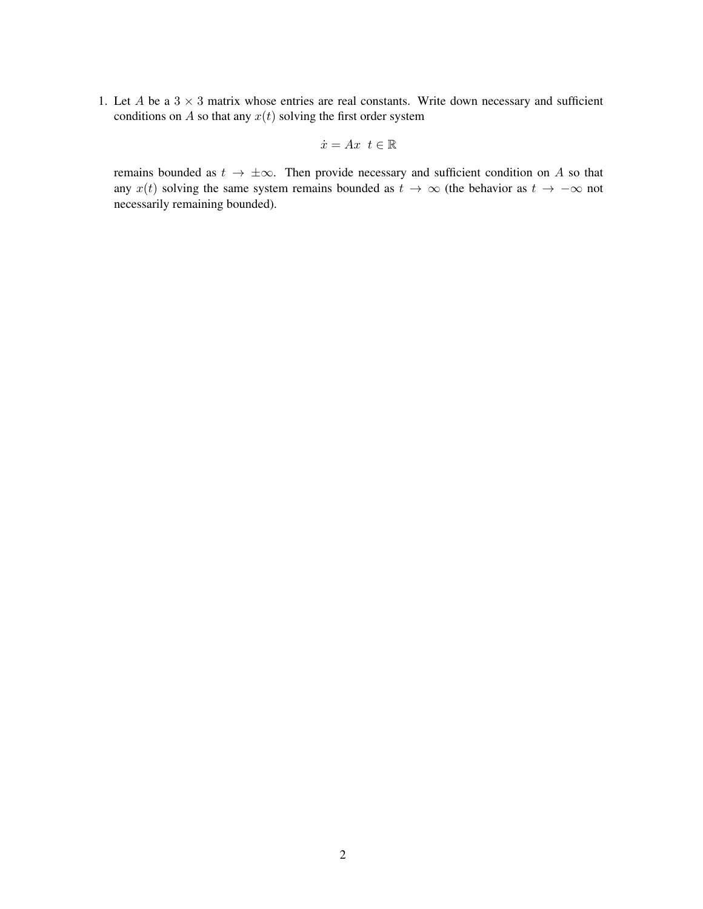1. Let A be a  $3 \times 3$  matrix whose entries are real constants. Write down necessary and sufficient conditions on  $A$  so that any  $x(t)$  solving the first order system

$$
\dot{x} = Ax \ t \in \mathbb{R}
$$

remains bounded as  $t \to \pm \infty$ . Then provide necessary and sufficient condition on A so that any  $x(t)$  solving the same system remains bounded as  $t \to \infty$  (the behavior as  $t \to -\infty$  not necessarily remaining bounded).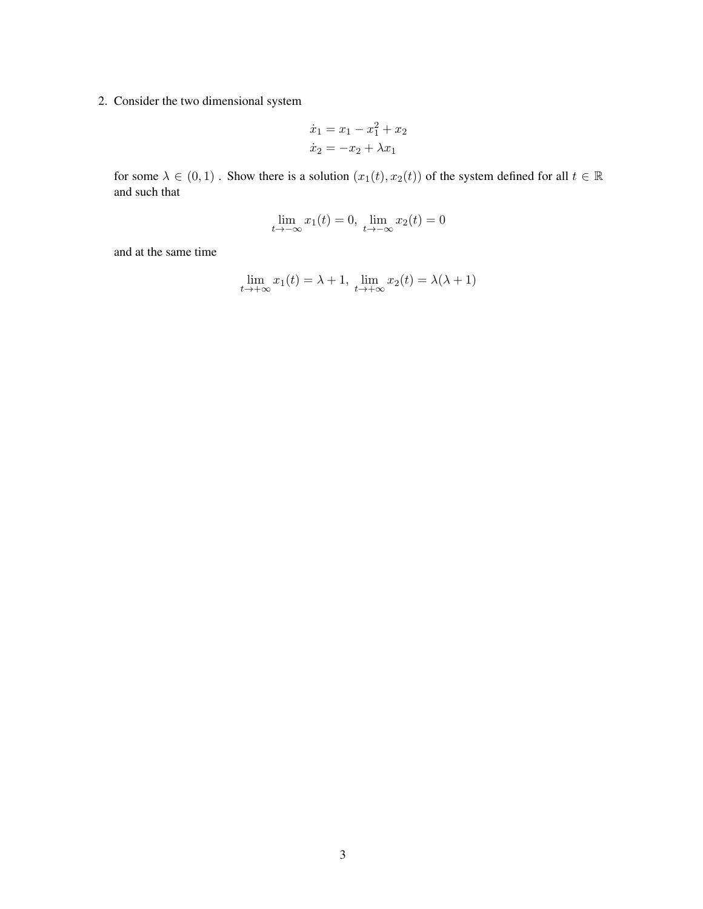2. Consider the two dimensional system

$$
\dot{x}_1 = x_1 - x_1^2 + x_2
$$
  

$$
\dot{x}_2 = -x_2 + \lambda x_1
$$

for some  $\lambda \in (0,1)$ . Show there is a solution  $(x_1(t), x_2(t))$  of the system defined for all  $t \in \mathbb{R}$ and such that

$$
\lim_{t \to -\infty} x_1(t) = 0, \ \lim_{t \to -\infty} x_2(t) = 0
$$

and at the same time

$$
\lim_{t \to +\infty} x_1(t) = \lambda + 1, \ \lim_{t \to +\infty} x_2(t) = \lambda(\lambda + 1)
$$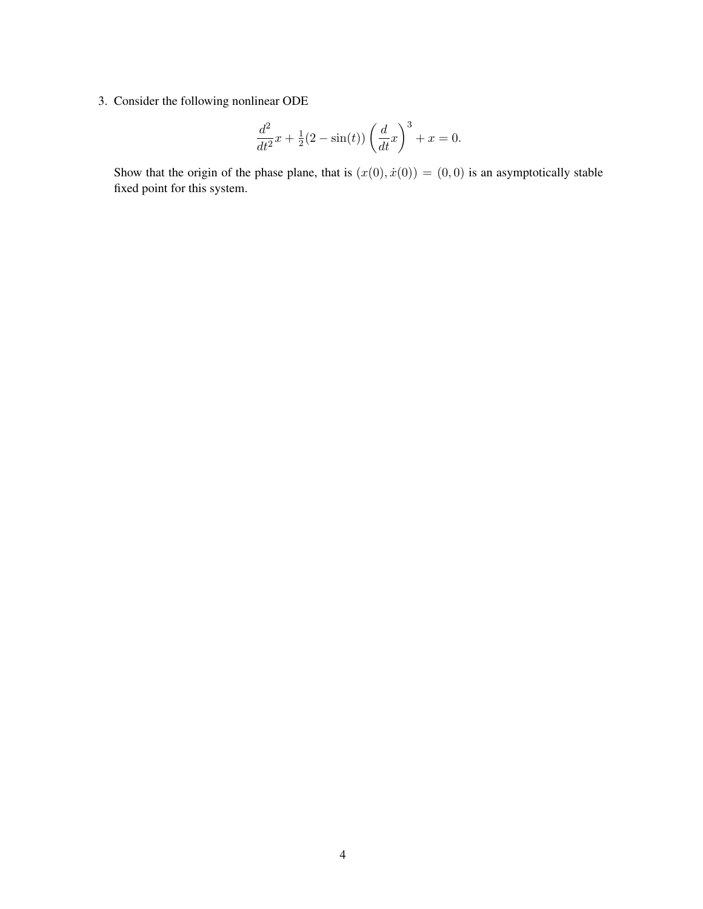3. Consider the following nonlinear ODE

$$
\frac{d^2}{dt^2}x + \frac{1}{2}(2 - \sin(t))\left(\frac{d}{dt}x\right)^3 + x = 0.
$$

Show that the origin of the phase plane, that is  $(x(0), \dot{x}(0)) = (0, 0)$  is an asymptotically stable fixed point for this system.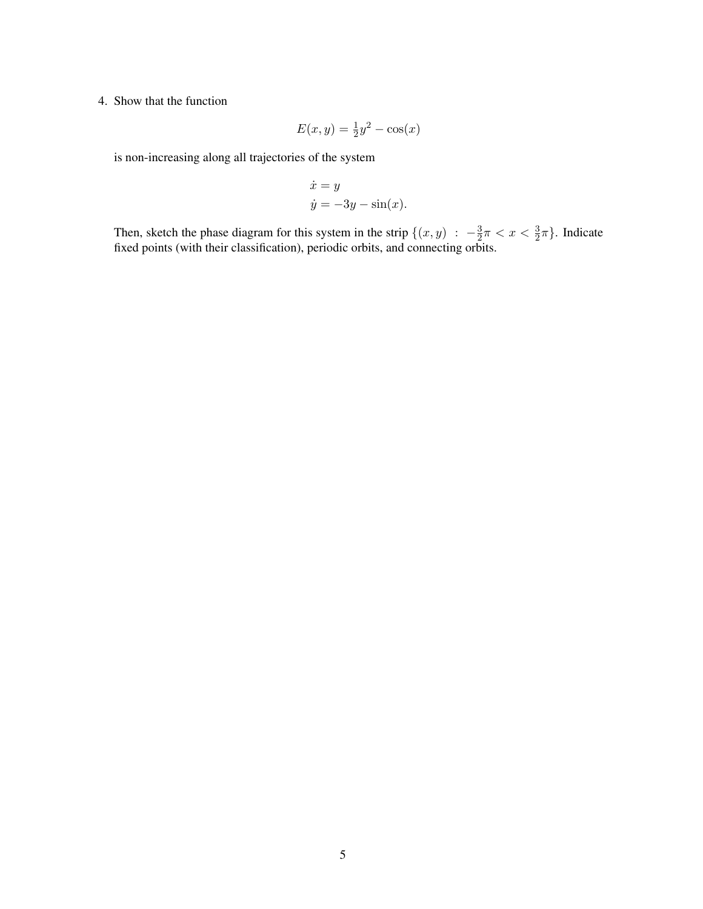## 4. Show that the function

$$
E(x,y) = \frac{1}{2}y^2 - \cos(x)
$$

is non-increasing along all trajectories of the system

$$
\dot{x} = y
$$
  

$$
\dot{y} = -3y - \sin(x).
$$

Then, sketch the phase diagram for this system in the strip  $\{(x, y) : -\frac{3}{2}\}$  $\frac{3}{2}\pi < x < \frac{3}{2}\pi$ . Indicate fixed points (with their classification), periodic orbits, and connecting orbits.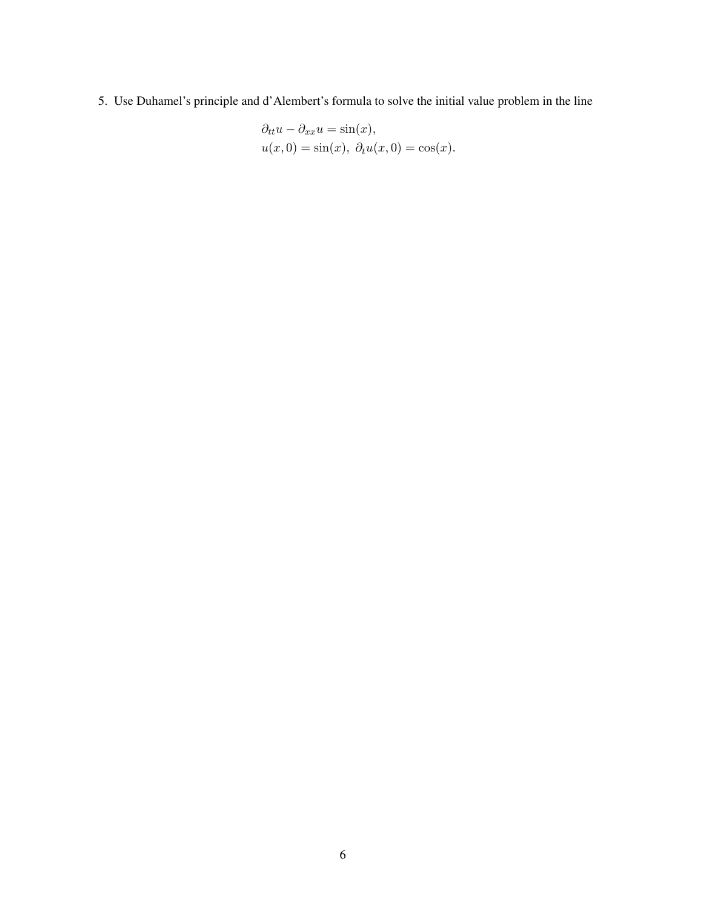5. Use Duhamel's principle and d'Alembert's formula to solve the initial value problem in the line

$$
\partial_{tt}u - \partial_{xx}u = \sin(x),
$$
  
 
$$
u(x, 0) = \sin(x), \ \partial_t u(x, 0) = \cos(x).
$$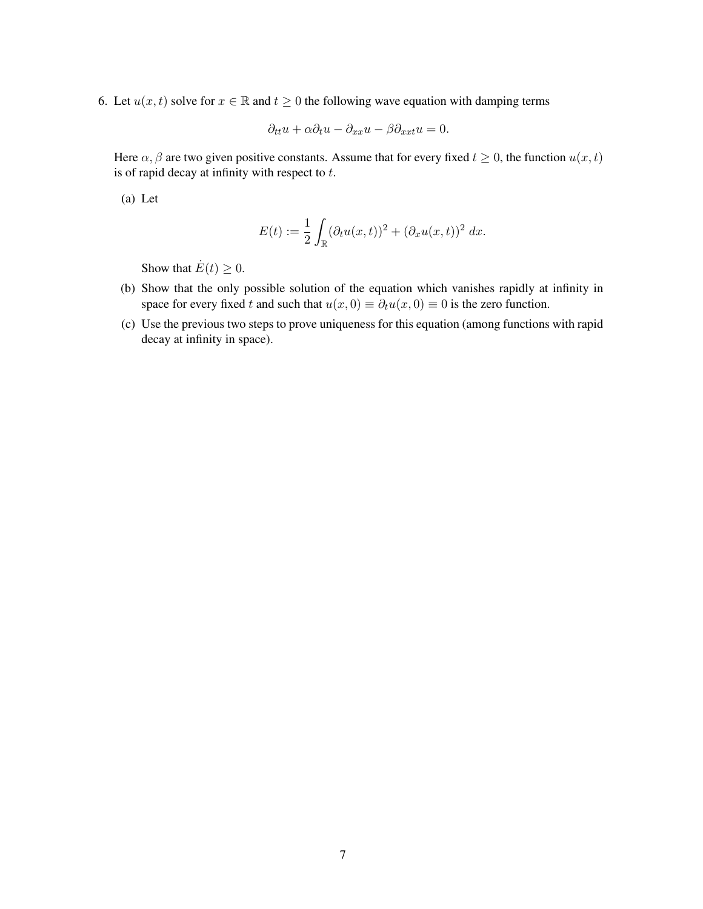6. Let  $u(x, t)$  solve for  $x \in \mathbb{R}$  and  $t \geq 0$  the following wave equation with damping terms

$$
\partial_{tt}u + \alpha \partial_t u - \partial_{xx}u - \beta \partial_{xxt}u = 0.
$$

Here  $\alpha, \beta$  are two given positive constants. Assume that for every fixed  $t \ge 0$ , the function  $u(x, t)$ is of rapid decay at infinity with respect to  $t$ .

(a) Let

$$
E(t) := \frac{1}{2} \int_{\mathbb{R}} (\partial_t u(x,t))^2 + (\partial_x u(x,t))^2 dx.
$$

Show that  $\dot{E}(t) \geq 0$ .

- (b) Show that the only possible solution of the equation which vanishes rapidly at infinity in space for every fixed t and such that  $u(x, 0) \equiv \partial_t u(x, 0) \equiv 0$  is the zero function.
- (c) Use the previous two steps to prove uniqueness for this equation (among functions with rapid decay at infinity in space).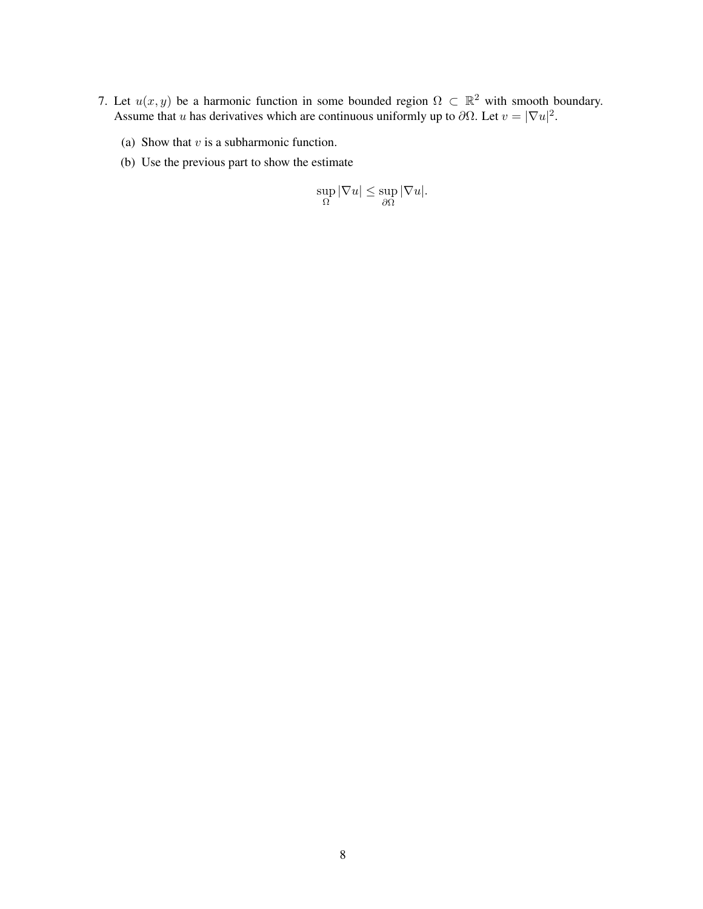- 7. Let  $u(x, y)$  be a harmonic function in some bounded region  $\Omega \subset \mathbb{R}^2$  with smooth boundary. Assume that u has derivatives which are continuous uniformly up to  $\partial\Omega$ . Let  $v = |\nabla u|^2$ .
	- (a) Show that  $v$  is a subharmonic function.
	- (b) Use the previous part to show the estimate

$$
\sup_{\Omega} |\nabla u| \le \sup_{\partial \Omega} |\nabla u|.
$$